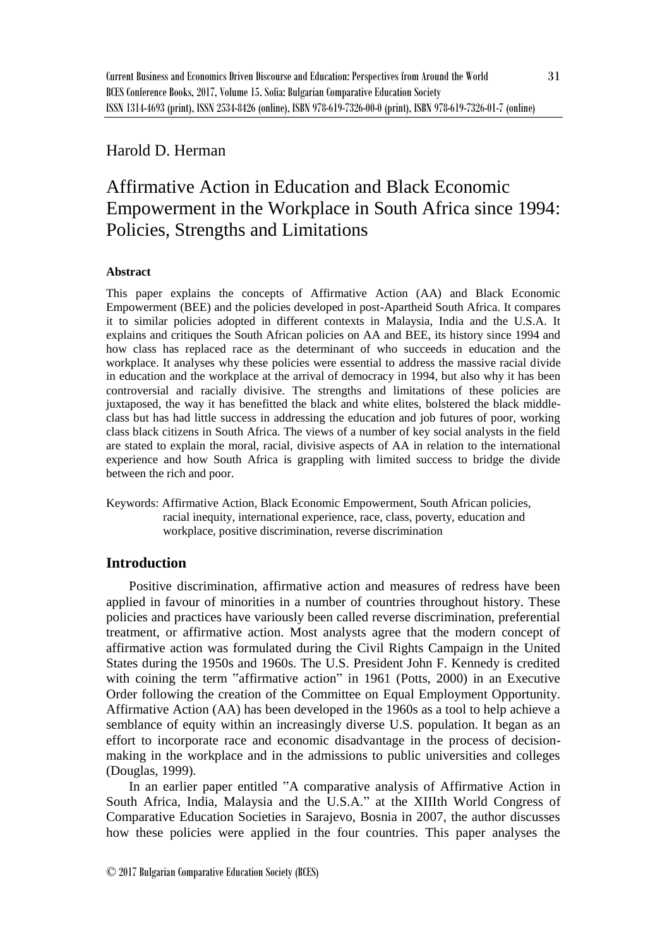## Harold D. Herman

# Affirmative Action in Education and Black Economic Empowerment in the Workplace in South Africa since 1994: Policies, Strengths and Limitations

#### **Abstract**

This paper explains the concepts of Affirmative Action (AA) and Black Economic Empowerment (BEE) and the policies developed in post-Apartheid South Africa. It compares it to similar policies adopted in different contexts in Malaysia, India and the U.S.A. It explains and critiques the South African policies on AA and BEE, its history since 1994 and how class has replaced race as the determinant of who succeeds in education and the workplace. It analyses why these policies were essential to address the massive racial divide in education and the workplace at the arrival of democracy in 1994, but also why it has been controversial and racially divisive. The strengths and limitations of these policies are juxtaposed, the way it has benefitted the black and white elites, bolstered the black middleclass but has had little success in addressing the education and job futures of poor, working class black citizens in South Africa. The views of a number of key social analysts in the field are stated to explain the moral, racial, divisive aspects of AA in relation to the international experience and how South Africa is grappling with limited success to bridge the divide between the rich and poor.

Keywords: Affirmative Action, Black Economic Empowerment, South African policies, racial inequity, international experience, race, class, poverty, education and workplace, positive discrimination, reverse discrimination

### **Introduction**

Positive discrimination, affirmative action and measures of redress have been applied in favour of minorities in a number of countries throughout history. These policies and practices have variously been called reverse discrimination, preferential treatment, or affirmative action. Most analysts agree that the modern concept of affirmative action was formulated during the Civil Rights Campaign in the United States during the 1950s and 1960s. The U.S. President John F. Kennedy is credited with coining the term "affirmative action" in 1961 (Potts, 2000) in an Executive Order following the creation of the Committee on Equal Employment Opportunity. Affirmative Action (AA) has been developed in the 1960s as a tool to help achieve a semblance of equity within an increasingly diverse U.S. population. It began as an effort to incorporate race and economic disadvantage in the process of decisionmaking in the workplace and in the admissions to public universities and colleges (Douglas, 1999).

In an earlier paper entitled "A comparative analysis of Affirmative Action in South Africa, India, Malaysia and the U.S.A." at the XIIIth World Congress of Comparative Education Societies in Sarajevo, Bosnia in 2007, the author discusses how these policies were applied in the four countries. This paper analyses the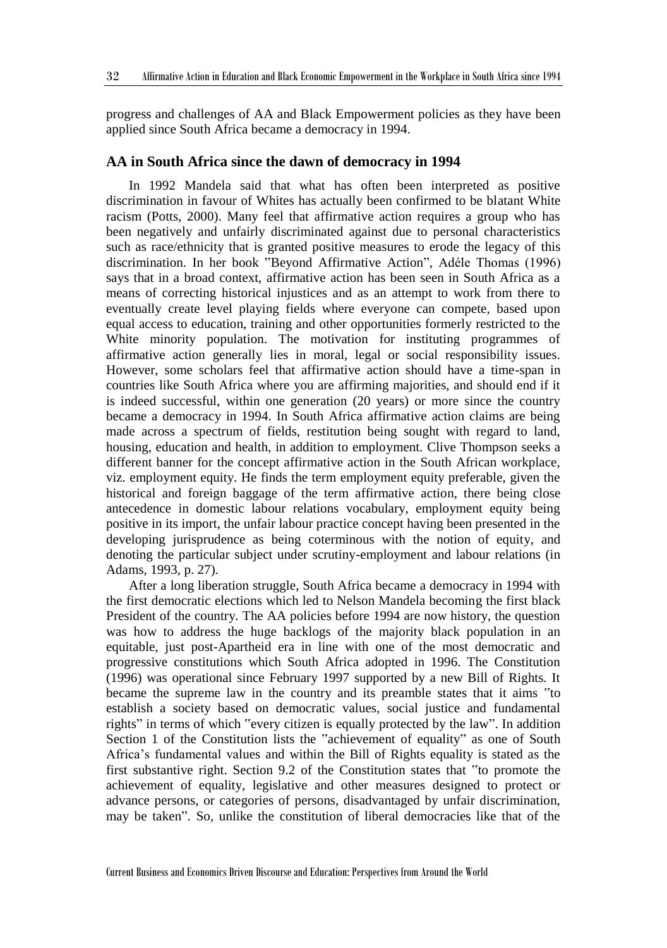progress and challenges of AA and Black Empowerment policies as they have been applied since South Africa became a democracy in 1994.

#### **AA in South Africa since the dawn of democracy in 1994**

In 1992 Mandela said that what has often been interpreted as positive discrimination in favour of Whites has actually been confirmed to be blatant White racism (Potts, 2000). Many feel that affirmative action requires a group who has been negatively and unfairly discriminated against due to personal characteristics such as race/ethnicity that is granted positive measures to erode the legacy of this discrimination. In her book "Beyond Affirmative Action", Adéle Thomas (1996) says that in a broad context, affirmative action has been seen in South Africa as a means of correcting historical injustices and as an attempt to work from there to eventually create level playing fields where everyone can compete, based upon equal access to education, training and other opportunities formerly restricted to the White minority population. The motivation for instituting programmes of affirmative action generally lies in moral, legal or social responsibility issues. However, some scholars feel that affirmative action should have a time-span in countries like South Africa where you are affirming majorities, and should end if it is indeed successful, within one generation (20 years) or more since the country became a democracy in 1994. In South Africa affirmative action claims are being made across a spectrum of fields, restitution being sought with regard to land, housing, education and health, in addition to employment. Clive Thompson seeks a different banner for the concept affirmative action in the South African workplace, viz. employment equity. He finds the term employment equity preferable, given the historical and foreign baggage of the term affirmative action, there being close antecedence in domestic labour relations vocabulary, employment equity being positive in its import, the unfair labour practice concept having been presented in the developing jurisprudence as being coterminous with the notion of equity, and denoting the particular subject under scrutiny-employment and labour relations (in Adams, 1993, p. 27).

After a long liberation struggle, South Africa became a democracy in 1994 with the first democratic elections which led to Nelson Mandela becoming the first black President of the country. The AA policies before 1994 are now history, the question was how to address the huge backlogs of the majority black population in an equitable, just post-Apartheid era in line with one of the most democratic and progressive constitutions which South Africa adopted in 1996. The Constitution (1996) was operational since February 1997 supported by a new Bill of Rights. It became the supreme law in the country and its preamble states that it aims "to establish a society based on democratic values, social justice and fundamental rights" in terms of which "every citizen is equally protected by the law". In addition Section 1 of the Constitution lists the "achievement of equality" as one of South Africa's fundamental values and within the Bill of Rights equality is stated as the first substantive right. Section 9.2 of the Constitution states that "to promote the achievement of equality, legislative and other measures designed to protect or advance persons, or categories of persons, disadvantaged by unfair discrimination, may be taken". So, unlike the constitution of liberal democracies like that of the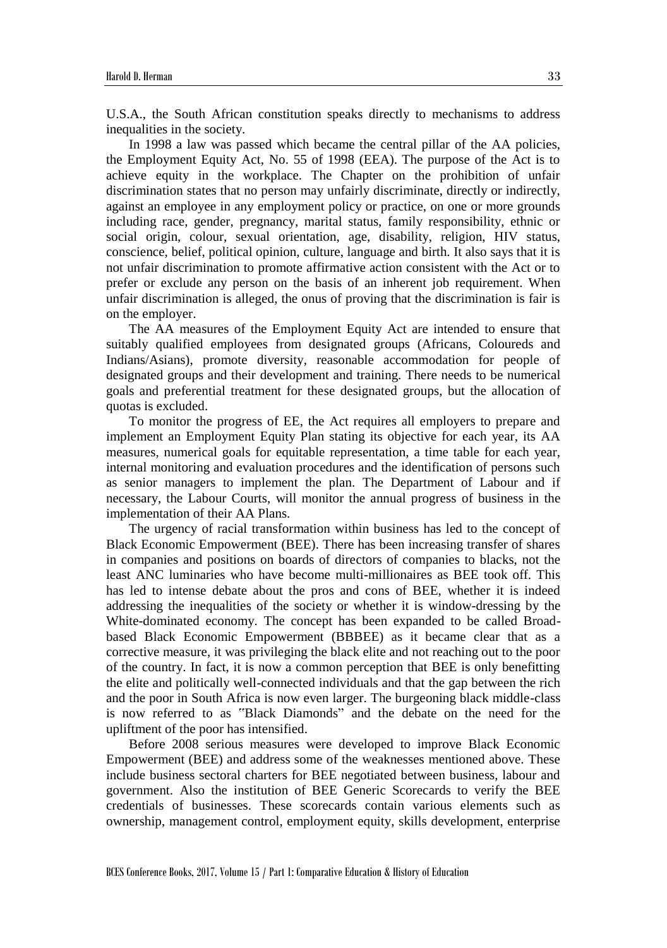U.S.A., the South African constitution speaks directly to mechanisms to address inequalities in the society.

In 1998 a law was passed which became the central pillar of the AA policies, the Employment Equity Act, No. 55 of 1998 (EEA). The purpose of the Act is to achieve equity in the workplace. The Chapter on the prohibition of unfair discrimination states that no person may unfairly discriminate, directly or indirectly, against an employee in any employment policy or practice, on one or more grounds including race, gender, pregnancy, marital status, family responsibility, ethnic or social origin, colour, sexual orientation, age, disability, religion, HIV status, conscience, belief, political opinion, culture, language and birth. It also says that it is not unfair discrimination to promote affirmative action consistent with the Act or to prefer or exclude any person on the basis of an inherent job requirement. When unfair discrimination is alleged, the onus of proving that the discrimination is fair is on the employer.

The AA measures of the Employment Equity Act are intended to ensure that suitably qualified employees from designated groups (Africans, Coloureds and Indians/Asians), promote diversity, reasonable accommodation for people of designated groups and their development and training. There needs to be numerical goals and preferential treatment for these designated groups, but the allocation of quotas is excluded.

To monitor the progress of EE, the Act requires all employers to prepare and implement an Employment Equity Plan stating its objective for each year, its AA measures, numerical goals for equitable representation, a time table for each year, internal monitoring and evaluation procedures and the identification of persons such as senior managers to implement the plan. The Department of Labour and if necessary, the Labour Courts, will monitor the annual progress of business in the implementation of their AA Plans.

The urgency of racial transformation within business has led to the concept of Black Economic Empowerment (BEE). There has been increasing transfer of shares in companies and positions on boards of directors of companies to blacks, not the least ANC luminaries who have become multi-millionaires as BEE took off. This has led to intense debate about the pros and cons of BEE, whether it is indeed addressing the inequalities of the society or whether it is window-dressing by the White-dominated economy. The concept has been expanded to be called Broadbased Black Economic Empowerment (BBBEE) as it became clear that as a corrective measure, it was privileging the black elite and not reaching out to the poor of the country. In fact, it is now a common perception that BEE is only benefitting the elite and politically well-connected individuals and that the gap between the rich and the poor in South Africa is now even larger. The burgeoning black middle-class is now referred to as "Black Diamonds" and the debate on the need for the upliftment of the poor has intensified.

Before 2008 serious measures were developed to improve Black Economic Empowerment (BEE) and address some of the weaknesses mentioned above. These include business sectoral charters for BEE negotiated between business, labour and government. Also the institution of BEE Generic Scorecards to verify the BEE credentials of businesses. These scorecards contain various elements such as ownership, management control, employment equity, skills development, enterprise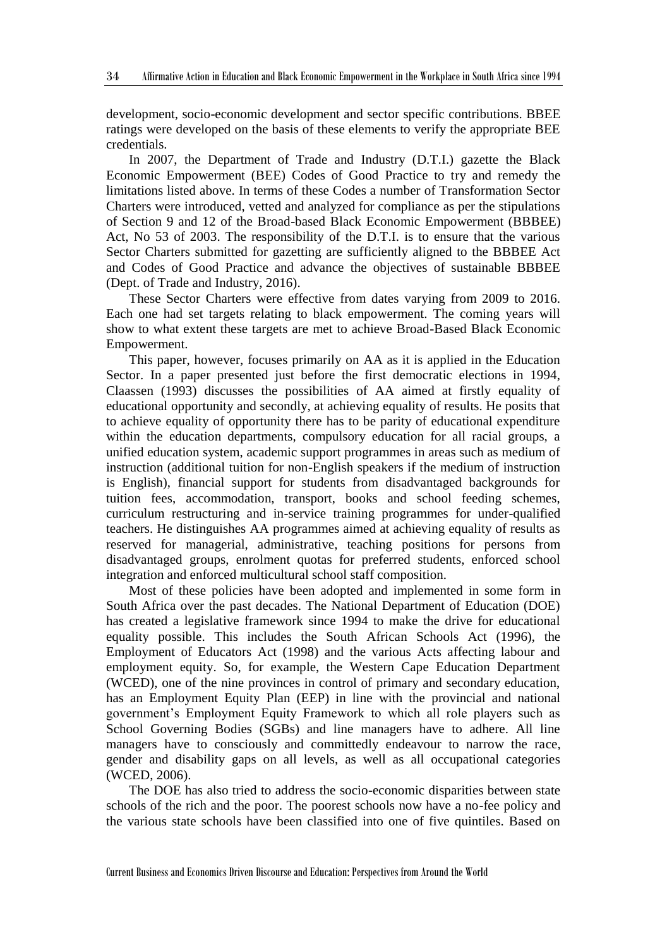development, socio-economic development and sector specific contributions. BBEE ratings were developed on the basis of these elements to verify the appropriate BEE credentials.

In 2007, the Department of Trade and Industry (D.T.I.) gazette the Black Economic Empowerment (BEE) Codes of Good Practice to try and remedy the limitations listed above. In terms of these Codes a number of Transformation Sector Charters were introduced, vetted and analyzed for compliance as per the stipulations of Section 9 and 12 of the Broad-based Black Economic Empowerment (BBBEE) Act, No 53 of 2003. The responsibility of the D.T.I. is to ensure that the various Sector Charters submitted for gazetting are sufficiently aligned to the BBBEE Act and Codes of Good Practice and advance the objectives of sustainable BBBEE (Dept. of Trade and Industry, 2016).

These Sector Charters were effective from dates varying from 2009 to 2016. Each one had set targets relating to black empowerment. The coming years will show to what extent these targets are met to achieve Broad-Based Black Economic Empowerment.

This paper, however, focuses primarily on AA as it is applied in the Education Sector. In a paper presented just before the first democratic elections in 1994, Claassen (1993) discusses the possibilities of AA aimed at firstly equality of educational opportunity and secondly, at achieving equality of results. He posits that to achieve equality of opportunity there has to be parity of educational expenditure within the education departments, compulsory education for all racial groups, a unified education system, academic support programmes in areas such as medium of instruction (additional tuition for non-English speakers if the medium of instruction is English), financial support for students from disadvantaged backgrounds for tuition fees, accommodation, transport, books and school feeding schemes, curriculum restructuring and in-service training programmes for under-qualified teachers. He distinguishes AA programmes aimed at achieving equality of results as reserved for managerial, administrative, teaching positions for persons from disadvantaged groups, enrolment quotas for preferred students, enforced school integration and enforced multicultural school staff composition.

Most of these policies have been adopted and implemented in some form in South Africa over the past decades. The National Department of Education (DOE) has created a legislative framework since 1994 to make the drive for educational equality possible. This includes the South African Schools Act (1996), the Employment of Educators Act (1998) and the various Acts affecting labour and employment equity. So, for example, the Western Cape Education Department (WCED), one of the nine provinces in control of primary and secondary education, has an Employment Equity Plan (EEP) in line with the provincial and national government's Employment Equity Framework to which all role players such as School Governing Bodies (SGBs) and line managers have to adhere. All line managers have to consciously and committedly endeavour to narrow the race, gender and disability gaps on all levels, as well as all occupational categories (WCED, 2006).

The DOE has also tried to address the socio-economic disparities between state schools of the rich and the poor. The poorest schools now have a no-fee policy and the various state schools have been classified into one of five quintiles. Based on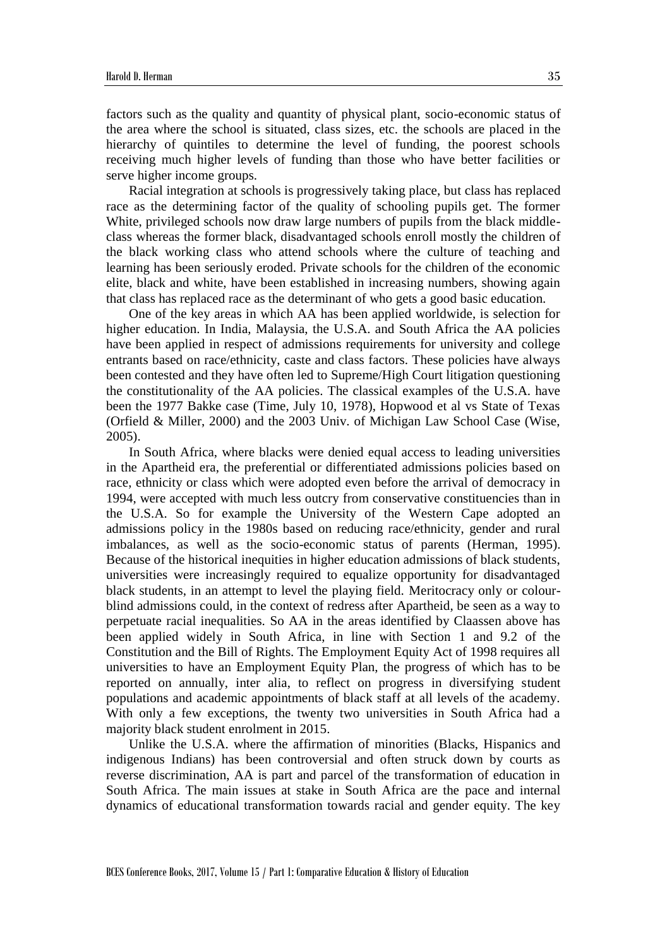factors such as the quality and quantity of physical plant, socio-economic status of the area where the school is situated, class sizes, etc. the schools are placed in the hierarchy of quintiles to determine the level of funding, the poorest schools receiving much higher levels of funding than those who have better facilities or serve higher income groups.

Racial integration at schools is progressively taking place, but class has replaced race as the determining factor of the quality of schooling pupils get. The former White, privileged schools now draw large numbers of pupils from the black middleclass whereas the former black, disadvantaged schools enroll mostly the children of the black working class who attend schools where the culture of teaching and learning has been seriously eroded. Private schools for the children of the economic elite, black and white, have been established in increasing numbers, showing again that class has replaced race as the determinant of who gets a good basic education.

One of the key areas in which AA has been applied worldwide, is selection for higher education. In India, Malaysia, the U.S.A. and South Africa the AA policies have been applied in respect of admissions requirements for university and college entrants based on race/ethnicity, caste and class factors. These policies have always been contested and they have often led to Supreme/High Court litigation questioning the constitutionality of the AA policies. The classical examples of the U.S.A. have been the 1977 Bakke case (Time, July 10, 1978), Hopwood et al vs State of Texas (Orfield & Miller, 2000) and the 2003 Univ. of Michigan Law School Case (Wise, 2005).

In South Africa, where blacks were denied equal access to leading universities in the Apartheid era, the preferential or differentiated admissions policies based on race, ethnicity or class which were adopted even before the arrival of democracy in 1994, were accepted with much less outcry from conservative constituencies than in the U.S.A. So for example the University of the Western Cape adopted an admissions policy in the 1980s based on reducing race/ethnicity, gender and rural imbalances, as well as the socio-economic status of parents (Herman, 1995). Because of the historical inequities in higher education admissions of black students, universities were increasingly required to equalize opportunity for disadvantaged black students, in an attempt to level the playing field. Meritocracy only or colourblind admissions could, in the context of redress after Apartheid, be seen as a way to perpetuate racial inequalities. So AA in the areas identified by Claassen above has been applied widely in South Africa, in line with Section 1 and 9.2 of the Constitution and the Bill of Rights. The Employment Equity Act of 1998 requires all universities to have an Employment Equity Plan, the progress of which has to be reported on annually, inter alia, to reflect on progress in diversifying student populations and academic appointments of black staff at all levels of the academy. With only a few exceptions, the twenty two universities in South Africa had a majority black student enrolment in 2015.

Unlike the U.S.A. where the affirmation of minorities (Blacks, Hispanics and indigenous Indians) has been controversial and often struck down by courts as reverse discrimination, AA is part and parcel of the transformation of education in South Africa. The main issues at stake in South Africa are the pace and internal dynamics of educational transformation towards racial and gender equity. The key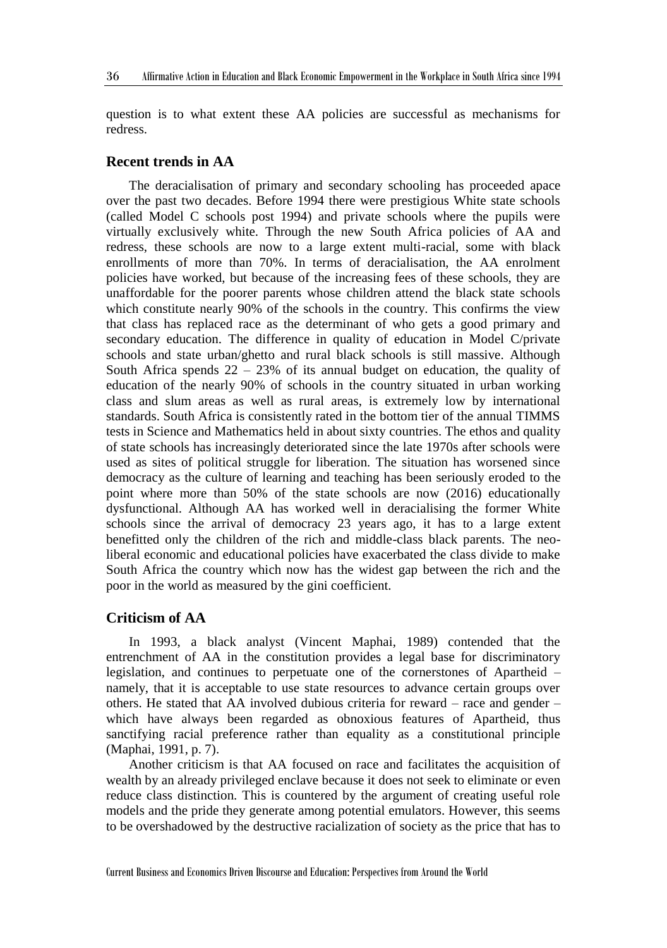question is to what extent these AA policies are successful as mechanisms for redress.

#### **Recent trends in AA**

The deracialisation of primary and secondary schooling has proceeded apace over the past two decades. Before 1994 there were prestigious White state schools (called Model C schools post 1994) and private schools where the pupils were virtually exclusively white. Through the new South Africa policies of AA and redress, these schools are now to a large extent multi-racial, some with black enrollments of more than 70%. In terms of deracialisation, the AA enrolment policies have worked, but because of the increasing fees of these schools, they are unaffordable for the poorer parents whose children attend the black state schools which constitute nearly 90% of the schools in the country. This confirms the view that class has replaced race as the determinant of who gets a good primary and secondary education. The difference in quality of education in Model C/private schools and state urban/ghetto and rural black schools is still massive. Although South Africa spends  $22 - 23%$  of its annual budget on education, the quality of education of the nearly 90% of schools in the country situated in urban working class and slum areas as well as rural areas, is extremely low by international standards. South Africa is consistently rated in the bottom tier of the annual TIMMS tests in Science and Mathematics held in about sixty countries. The ethos and quality of state schools has increasingly deteriorated since the late 1970s after schools were used as sites of political struggle for liberation. The situation has worsened since democracy as the culture of learning and teaching has been seriously eroded to the point where more than 50% of the state schools are now (2016) educationally dysfunctional. Although AA has worked well in deracialising the former White schools since the arrival of democracy 23 years ago, it has to a large extent benefitted only the children of the rich and middle-class black parents. The neoliberal economic and educational policies have exacerbated the class divide to make South Africa the country which now has the widest gap between the rich and the poor in the world as measured by the gini coefficient.

#### **Criticism of AA**

In 1993, a black analyst (Vincent Maphai, 1989) contended that the entrenchment of AA in the constitution provides a legal base for discriminatory legislation, and continues to perpetuate one of the cornerstones of Apartheid – namely, that it is acceptable to use state resources to advance certain groups over others. He stated that AA involved dubious criteria for reward – race and gender – which have always been regarded as obnoxious features of Apartheid, thus sanctifying racial preference rather than equality as a constitutional principle (Maphai, 1991, p. 7).

Another criticism is that AA focused on race and facilitates the acquisition of wealth by an already privileged enclave because it does not seek to eliminate or even reduce class distinction. This is countered by the argument of creating useful role models and the pride they generate among potential emulators. However, this seems to be overshadowed by the destructive racialization of society as the price that has to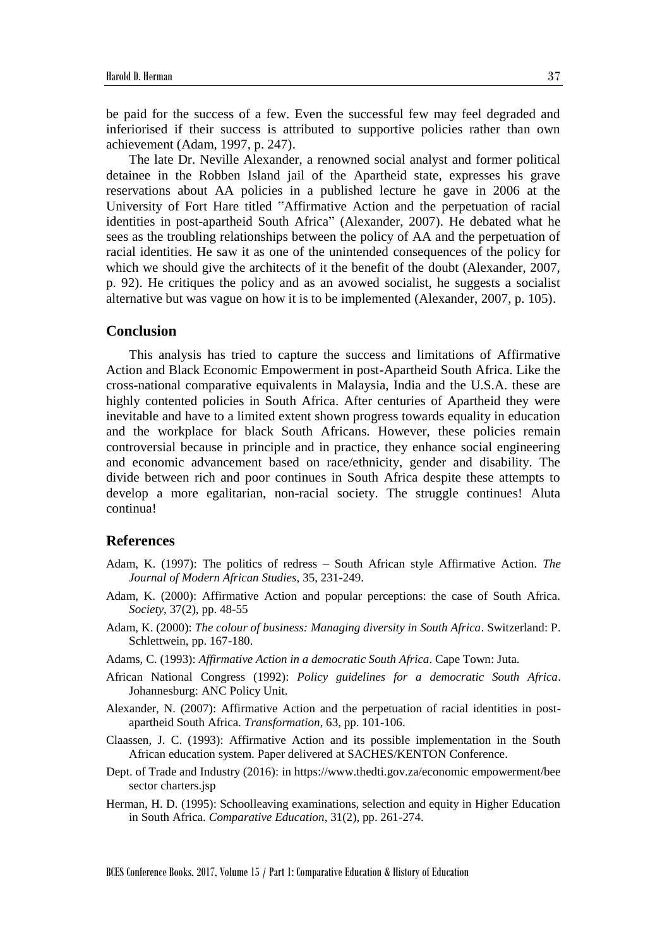be paid for the success of a few. Even the successful few may feel degraded and inferiorised if their success is attributed to supportive policies rather than own achievement (Adam, 1997, p. 247).

The late Dr. Neville Alexander, a renowned social analyst and former political detainee in the Robben Island jail of the Apartheid state, expresses his grave reservations about AA policies in a published lecture he gave in 2006 at the University of Fort Hare titled "Affirmative Action and the perpetuation of racial identities in post-apartheid South Africa" (Alexander, 2007). He debated what he sees as the troubling relationships between the policy of AA and the perpetuation of racial identities. He saw it as one of the unintended consequences of the policy for which we should give the architects of it the benefit of the doubt (Alexander, 2007, p. 92). He critiques the policy and as an avowed socialist, he suggests a socialist alternative but was vague on how it is to be implemented (Alexander, 2007, p. 105).

#### **Conclusion**

This analysis has tried to capture the success and limitations of Affirmative Action and Black Economic Empowerment in post-Apartheid South Africa. Like the cross-national comparative equivalents in Malaysia, India and the U.S.A. these are highly contented policies in South Africa. After centuries of Apartheid they were inevitable and have to a limited extent shown progress towards equality in education and the workplace for black South Africans. However, these policies remain controversial because in principle and in practice, they enhance social engineering and economic advancement based on race/ethnicity, gender and disability. The divide between rich and poor continues in South Africa despite these attempts to develop a more egalitarian, non-racial society. The struggle continues! Aluta continua!

#### **References**

- Adam, K. (1997): The politics of redress South African style Affirmative Action. *The Journal of Modern African Studies*, 35, 231-249.
- Adam, K. (2000): Affirmative Action and popular perceptions: the case of South Africa. *Society*, 37(2), pp. 48-55
- Adam, K. (2000): *The colour of business: Managing diversity in South Africa*. Switzerland: P. Schlettwein, pp. 167-180.
- Adams, C. (1993): *Affirmative Action in a democratic South Africa*. Cape Town: Juta.
- African National Congress (1992): *Policy guidelines for a democratic South Africa*. Johannesburg: ANC Policy Unit.
- Alexander, N. (2007): Affirmative Action and the perpetuation of racial identities in postapartheid South Africa. *Transformation*, 63, pp. 101-106.
- Claassen, J. C. (1993): Affirmative Action and its possible implementation in the South African education system. Paper delivered at SACHES/KENTON Conference.
- Dept. of Trade and Industry (2016): in https://www.thedti.gov.za/economic empowerment/bee sector charters.jsp
- Herman, H. D. (1995): Schoolleaving examinations, selection and equity in Higher Education in South Africa. *Comparative Education*, 31(2), pp. 261-274.